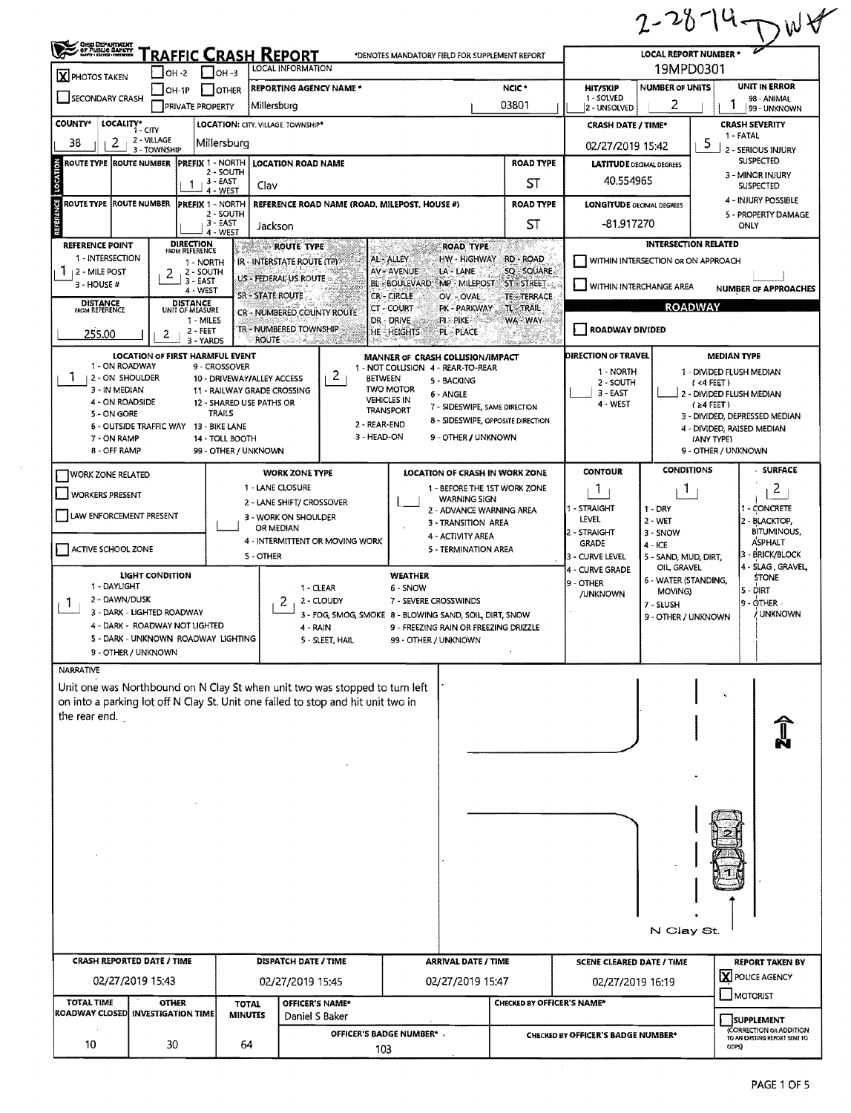|                                                                                                                                                                                                |                                 |                                                                                                                                                                    |                                                                           |                                                                                                                                 |                                                                                                                                                                 |                                                                                                                                                                  |                                                                                                       |                                                                              |                                                                                         |                                                                                   |                                                                                                                                     | $2 - 28 - 14 - 16$                                                       |  |
|------------------------------------------------------------------------------------------------------------------------------------------------------------------------------------------------|---------------------------------|--------------------------------------------------------------------------------------------------------------------------------------------------------------------|---------------------------------------------------------------------------|---------------------------------------------------------------------------------------------------------------------------------|-----------------------------------------------------------------------------------------------------------------------------------------------------------------|------------------------------------------------------------------------------------------------------------------------------------------------------------------|-------------------------------------------------------------------------------------------------------|------------------------------------------------------------------------------|-----------------------------------------------------------------------------------------|-----------------------------------------------------------------------------------|-------------------------------------------------------------------------------------------------------------------------------------|--------------------------------------------------------------------------|--|
| <b>CHIO DEPARTMENT<br/>- OF PUBLIC SAFETY</b><br>- Life - Marci - Persona                                                                                                                      |                                 |                                                                                                                                                                    | <u>TRAFFIC CRASH REPORT</u>                                               | <b>LOCAL REPORT NUMBER *</b><br>19MPD0301                                                                                       |                                                                                                                                                                 |                                                                                                                                                                  |                                                                                                       |                                                                              |                                                                                         |                                                                                   |                                                                                                                                     |                                                                          |  |
| X PHOTOS TAKEN                                                                                                                                                                                 | $IOH - 2$                       |                                                                                                                                                                    | ∣ ∣он-з                                                                   | LOCAL INFORMATION                                                                                                               | <b>REPORTING AGENCY NAME *</b>                                                                                                                                  |                                                                                                                                                                  |                                                                                                       | NCIC <sup>*</sup>                                                            | <b>HIT/SKIP</b>                                                                         | <b>NUMBER OF UNITS</b>                                                            | UNIT IN ERROR                                                                                                                       |                                                                          |  |
| SECONDARY CRASH                                                                                                                                                                                | OH-1P                           | <b>PRIVATE PROPERTY</b>                                                                                                                                            | I IOTHER                                                                  | Millersburg                                                                                                                     |                                                                                                                                                                 |                                                                                                                                                                  |                                                                                                       | 03801                                                                        | 1 - SOLVED<br>2 - UNSOLVED                                                              | 2                                                                                 | 1                                                                                                                                   | 98 - ANIMAL<br>99 - UNKNOWN                                              |  |
| <b>COUNTY*</b><br>LOCALITY* CITY                                                                                                                                                               |                                 |                                                                                                                                                                    |                                                                           | LOCATION: CITY. VILLAGE. TOWNSHIP*                                                                                              |                                                                                                                                                                 |                                                                                                                                                                  |                                                                                                       |                                                                              | <b>CRASH DATE / TIME*</b>                                                               |                                                                                   |                                                                                                                                     | <b>CRASH SEVERITY</b>                                                    |  |
| 2<br>38                                                                                                                                                                                        | 2 - VILLAGE<br>3 - TOWNSHIP     |                                                                                                                                                                    | Millersburg                                                               |                                                                                                                                 |                                                                                                                                                                 |                                                                                                                                                                  |                                                                                                       |                                                                              | 02/27/2019 15:42                                                                        |                                                                                   | 5                                                                                                                                   | 1 - FATAL<br>2 - SERIOUS INJURY                                          |  |
| ROUTE TYPE  ROUTE NUMBER                                                                                                                                                                       |                                 |                                                                                                                                                                    | <b>PREFIX 1 - NORTH</b><br>2 - SOUTH                                      |                                                                                                                                 | <b>LOCATION ROAD NAME</b>                                                                                                                                       |                                                                                                                                                                  |                                                                                                       | <b>ROAD TYPE</b>                                                             | <b>LATITUDE DECIMAL DEGREES</b>                                                         |                                                                                   |                                                                                                                                     | <b>SUSPECTED</b>                                                         |  |
| LOCATION                                                                                                                                                                                       |                                 | $1 + 3 - EAST$                                                                                                                                                     | 4 - WEST                                                                  | Clav                                                                                                                            |                                                                                                                                                                 |                                                                                                                                                                  |                                                                                                       | ST                                                                           | 40.554965                                                                               |                                                                                   |                                                                                                                                     | 3 - MINOR INJURY<br><b>SUSPECTED</b>                                     |  |
| ROUTE TYPE IROUTE NUMBER                                                                                                                                                                       |                                 | <b>PREFIX 1 - NORTH</b>                                                                                                                                            | 2 - SOUTH                                                                 |                                                                                                                                 | REFERENCE ROAD NAME (ROAD, MILEPOST, HOUSE #)                                                                                                                   |                                                                                                                                                                  |                                                                                                       | <b>ROAD TYPE</b>                                                             | <b>LONGITUDE DECIMAL DEGREES</b>                                                        |                                                                                   |                                                                                                                                     | 4 - INJURY POSSIBLE<br>5 - PROPERTY DAMAGE                               |  |
| REFERENCE                                                                                                                                                                                      |                                 |                                                                                                                                                                    | $3 - EAST$<br>4 - WEST                                                    | Jackson                                                                                                                         |                                                                                                                                                                 |                                                                                                                                                                  |                                                                                                       | SТ                                                                           | -81.917270                                                                              |                                                                                   |                                                                                                                                     | <b>ONLY</b>                                                              |  |
| REFERENCE POINT<br>1 - INTERSECTION<br><sub> </sub> 2 - Mile Post<br>3 - HOUSE #<br><b>DISTANCE</b><br>FROM REFERENCE<br>255.00                                                                | 2<br>2                          | <b>DIRECTION</b><br>FROM REFERENCE<br>1 - NORTH<br>2 - SOUTH<br>$3 - EAST$<br>4 - WEST<br><b>DISTANCE</b><br>UNIT OF MEASURE<br>1 - MILES<br>2 - FEET<br>3 - YARDS |                                                                           | ROUTE TYPE<br>IR - INTERSTATE ROUTE (TP)<br>US - FEDERAL US ROUTE<br>SR - STATE ROUTE<br>TR - NUMBERED TOWNSHIP<br><b>ROUTE</b> | CR - NUMBERED COUNTY ROUTE<br>ANG AR                                                                                                                            | AL - ALLEY<br>AV - AVENUE<br><b>BL-BOULEVARD</b><br><b>CR-CIRCLE</b><br>CT - COURT<br>DR - DRIVE<br>PI - PIKE<br><b>HE-HEIGHTS</b>                               | <b>ROAD TYPE</b><br>HW - HIGHWAY<br>LA - LANE<br>MP - MILEPOST<br>OV-OVAL<br>PK - PARKWAY<br>PL-PLACE | RD - ROAD<br>SQ - SQUARE<br>ST-STREET<br>TE-TERRACE<br>TL-TRAIL<br>WA - WAY  | WITHIN INTERSECTION OR ON APPROACH<br>WITHIN INTERCHANGE AREA<br><b>ROADWAY DIVIDED</b> |                                                                                   | <b>INTERSECTION RELATED</b><br><b>ROADWAY</b>                                                                                       | <b>NUMBER OF APPROACHES</b>                                              |  |
| 1 - ON ROADWAY<br>  2 - ON SHOULDER<br>3 - IN MEDIAN<br>4 - ON ROADSIDE<br>5 - ON GORE<br>6 - OUTSIDE TRAFFIC WAY 13 - BIKE LANE<br>7 - ON RAMP<br>8 - OFF RAMP                                | LOCATION OF FIRST HARMFUL EVENT |                                                                                                                                                                    | 9 - CROSSOVER<br><b>TRAILS</b><br>14 - TOLL BOOTH<br>99 - OTHER / UNKNOWN | 10 - DRIVEWAY/ALLEY ACCESS<br>11 - RAILWAY GRADE CROSSING<br>12 - SHARED USE PATHS OR                                           | $\overline{2}$<br><b>BETWEEN</b><br>2 - REAR-END<br>3 - HEAD-ON                                                                                                 | MANNER OF CRASH COLLISION/IMPACT<br>1 - NOT COLLISION 4 - REAR-TO-REAR<br>5 - BACKING<br><b>TWO MOTOR</b><br>6 - ANGLE<br><b>VEHICLES IN</b><br><b>TRANSPORT</b> | 9 - OTHER / UNKNOWN                                                                                   | 7 - SIDESWIPE, SAME DIRECTION<br>8 - SIDESWIPE, OPPOSITE DIRECTION           | DIRECTION OF TRAVEL<br>1 - NORTH<br>2 - SOUTH<br>$3 - EAST$<br>4 - WEST                 |                                                                                   | MEDIAN TYPE<br>1 - DIVIDED FLUSH MEDIAN<br>(4 FERT)<br>2 - DIVIDED FLUSH MEDIAN<br>$(24$ FEET)<br>(ANY TYPE)<br>9 - OTHER / UNKNOWN | 3 - DIVIDED, DEPRESSED MEDIAN<br>4 - DIVIDED, RAISED MEDIAN              |  |
| <b>WORK ZONE RELATED</b>                                                                                                                                                                       |                                 |                                                                                                                                                                    |                                                                           |                                                                                                                                 | <b>WORK ZONE TYPE</b>                                                                                                                                           |                                                                                                                                                                  |                                                                                                       | LOCATION OF CRASH IN WORK ZONE                                               | <b>CONTOUR</b>                                                                          | <b>CONDITIONS</b>                                                                 |                                                                                                                                     | <b>SURFACE</b>                                                           |  |
| <b>WORKERS PRESENT</b>                                                                                                                                                                         |                                 |                                                                                                                                                                    | 1 - LANE CLOSURE                                                          | 2 - LANE SHIFT/ CROSSOVER                                                                                                       |                                                                                                                                                                 | <b>WARNING SIGN</b>                                                                                                                                              | 1 - BEFORE THE 1ST WORK ZONE                                                                          | 1                                                                            | $\mathbb{R}$                                                                            |                                                                                   | $\overline{c}$                                                                                                                      |                                                                          |  |
| <b>LAW ENFORCEMENT PRESENT</b>                                                                                                                                                                 |                                 |                                                                                                                                                                    |                                                                           | 3 - WORK ON SHOULDER                                                                                                            |                                                                                                                                                                 |                                                                                                                                                                  | 3 - TRANSITION AREA                                                                                   | 2 - ADVANCE WARNING AREA                                                     | 1 - STRAIGHT<br>LEVEL                                                                   | $1 - DRY$<br>$2 - WET$                                                            |                                                                                                                                     | 1 - CONCRETE<br>2 - BLACKTOP,                                            |  |
| ACTIVE SCHOOL ZONE                                                                                                                                                                             |                                 |                                                                                                                                                                    |                                                                           | OR MEDIAN<br>5 - OTHER                                                                                                          | 4 - ACTIVITY AREA<br>4 - INTERMITTENT OR MOVING WORK<br>5 - TERMINATION AREA                                                                                    |                                                                                                                                                                  |                                                                                                       |                                                                              |                                                                                         | 3 - SNOW<br>$4 - ICE$<br>5 - SAND, MUD, DIRT,                                     |                                                                                                                                     | BITUMINOUS,<br>ASPHALT<br>3 - BRICK/BLOCK<br>4 - SLAG, GRAVEL            |  |
| LIGHT CONDITION<br>1 - DAYLIGHT<br>2 - DAWN/DUSK<br>$\mathbf{I}$<br>3 - DARK - LIGHTED ROADWAY<br>4 - DARK - ROADWAY NOT LIGHTED<br>5 - DARK - UNKNOWN ROADWAY LIGHTING<br>9 - OTHER / UNKNOWN |                                 |                                                                                                                                                                    |                                                                           | z                                                                                                                               | $1 - CLEAR$<br>2 - CLOUDY<br>3 - FOG, SMOG, SMOKE 8 - BLOWING SAND, SOIL, DIRT, SNOW<br>4 - RAIN<br>5 - SLEET, HAIL                                             | WEATHER<br>6 - SNOW<br>7 - SEVERE CROSSWINDS<br>9 - FREEZING RAIN OR FREEZING DRIZZLE<br>99 - OTHER / UNKNOWN                                                    |                                                                                                       |                                                                              | 4 - CURVE GRADE<br>9 - OTHER<br>/UNKNOWN                                                | OIL GRAVEL<br>6 - WATER (STANDING,<br>MOVING)<br>7 - SLUSH<br>9 - OTHER / UNKNOWN |                                                                                                                                     | <b>STONE</b><br>5 - DIRT<br>$9 - \overline{\text{OTHER}}$ .<br>/ UNKNOWN |  |
| <b>NARRATIVE</b>                                                                                                                                                                               |                                 |                                                                                                                                                                    |                                                                           |                                                                                                                                 |                                                                                                                                                                 |                                                                                                                                                                  |                                                                                                       |                                                                              |                                                                                         |                                                                                   |                                                                                                                                     |                                                                          |  |
| the rear end.                                                                                                                                                                                  |                                 |                                                                                                                                                                    |                                                                           |                                                                                                                                 | Unit one was Northbound on N Clay St when unit two was stopped to turn left<br>on into a parking lot off N Clay St. Unit one failed to stop and hit unit two in |                                                                                                                                                                  |                                                                                                       |                                                                              |                                                                                         |                                                                                   |                                                                                                                                     |                                                                          |  |
|                                                                                                                                                                                                |                                 |                                                                                                                                                                    |                                                                           |                                                                                                                                 |                                                                                                                                                                 |                                                                                                                                                                  |                                                                                                       |                                                                              |                                                                                         | N Clay St.                                                                        |                                                                                                                                     |                                                                          |  |
| CRASH REPORTED DATE / TIME                                                                                                                                                                     |                                 |                                                                                                                                                                    |                                                                           |                                                                                                                                 | <b>DISPATCH DATE / TIME</b>                                                                                                                                     |                                                                                                                                                                  | <b>ARRIVAL DATE / TIME</b>                                                                            |                                                                              | <b>SCENE CLEARED DATE / TIME</b>                                                        |                                                                                   |                                                                                                                                     | <b>REPORT TAKEN BY</b>                                                   |  |
| 02/27/2019 15:43                                                                                                                                                                               |                                 |                                                                                                                                                                    |                                                                           |                                                                                                                                 | 02/27/2019 15:45                                                                                                                                                |                                                                                                                                                                  | 02/27/2019 15:47                                                                                      |                                                                              | 02/27/2019 16:19                                                                        |                                                                                   |                                                                                                                                     | X POLICE AGENCY<br>MOTORIST                                              |  |
| <b>TOTAL TIME</b>                                                                                                                                                                              | <b>OTHER</b>                    |                                                                                                                                                                    | <b>TOTAL</b>                                                              |                                                                                                                                 | OFFICER'S NAME*<br>Daniel S Baker                                                                                                                               |                                                                                                                                                                  |                                                                                                       | CHECKED BY OFFICER'S NAME*                                                   |                                                                                         |                                                                                   |                                                                                                                                     |                                                                          |  |
| ROADWAY CLOSED INVESTIGATION TIME<br><b>MINUTES</b>                                                                                                                                            |                                 |                                                                                                                                                                    |                                                                           |                                                                                                                                 | OFFICER'S BADGE NUMBER* .                                                                                                                                       |                                                                                                                                                                  |                                                                                                       |                                                                              |                                                                                         |                                                                                   | SUPPLEMENT<br><b>CORRECTION OR ADDITION</b>                                                                                         |                                                                          |  |
|                                                                                                                                                                                                |                                 |                                                                                                                                                                    |                                                                           |                                                                                                                                 |                                                                                                                                                                 |                                                                                                                                                                  |                                                                                                       | CHECKED BY OFFICER'S BADGE NUMBER*<br>TO AN EXISTING REPORT SENT TO<br>ODPS) |                                                                                         |                                                                                   |                                                                                                                                     |                                                                          |  |

 $\mathcal{L}_{\text{max}}$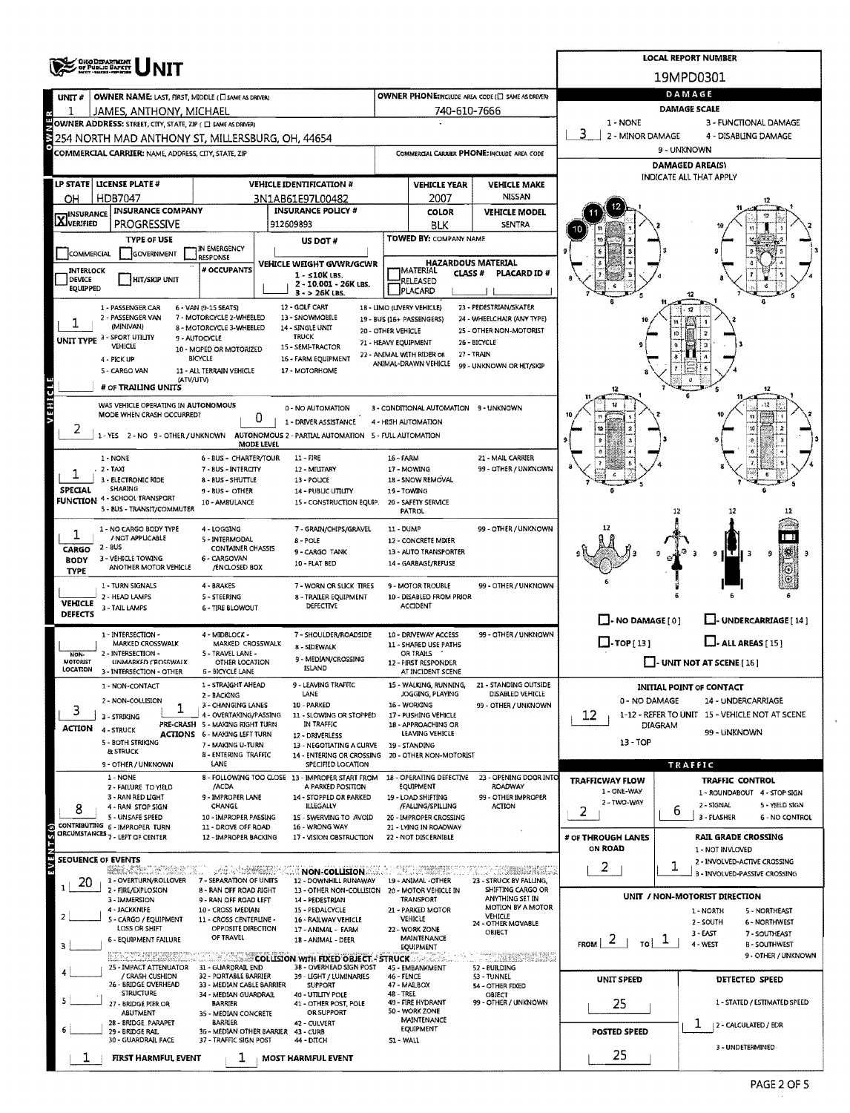|                            | <b>GHO DEPARTMENT</b><br>OF PUBLIC BAFFIT                                                                         |                                                           |                                                                       |                                                      |                                                   |                                                       |                                       | <b>LOCAL REPORT NUMBER</b>                                |  |  |  |
|----------------------------|-------------------------------------------------------------------------------------------------------------------|-----------------------------------------------------------|-----------------------------------------------------------------------|------------------------------------------------------|---------------------------------------------------|-------------------------------------------------------|---------------------------------------|-----------------------------------------------------------|--|--|--|
|                            |                                                                                                                   |                                                           |                                                                       |                                                      |                                                   |                                                       |                                       | 19MPD0301                                                 |  |  |  |
| UNIT#                      | OWNER NAME: LAST, FIRST, MIDDLE (C) SAME AS DRIVERY                                                               |                                                           |                                                                       |                                                      |                                                   | OWNER PHONE:INCLUDE AREA CODE (E) SAME AS DRIVER)     |                                       | DAMAGE                                                    |  |  |  |
| 뚭                          | JAMES, ANTHONY, MICHAEL<br>OWNER ADDRESS: STREET, CITY, STATE, ZIP ( C) SAME AS DRIVER)                           |                                                           |                                                                       |                                                      | 740-610-7666                                      |                                                       | 1 - NONE                              | <b>DAMAGE SCALE</b><br>3 - FUNCTIONAL DAMAGE              |  |  |  |
|                            | OWNER ADDRESS: STREET, CITY, STATE, ZIP ( [] SAME AS DRIVER)<br>2254 NORTH MAD ANTHONY ST, MILLERSBURG, OH, 44654 |                                                           |                                                                       | 3<br>2 - MINOR DAMAGE<br>4 - DISABLING DAMAGE        |                                                   |                                                       |                                       |                                                           |  |  |  |
|                            | COMMERCIAL CARRIER: NAME, ADDRESS, CITY, STATE, ZIP                                                               |                                                           |                                                                       |                                                      | COMMERCIAL CARRIER PHONE: INCLUDE AREA CODE       | 9 - UNKNOWN                                           |                                       |                                                           |  |  |  |
|                            |                                                                                                                   |                                                           |                                                                       |                                                      |                                                   | <b>DAMAGED AREA(S)</b>                                |                                       |                                                           |  |  |  |
|                            | LP STATE   LICENSE PLATE #                                                                                        |                                                           | <b>VEHICLE IDENTIFICATION #</b>                                       |                                                      | <b>VEHICLE YEAR</b>                               | <b>VEHICLE MAKE</b>                                   |                                       | INDICATE ALL THAT APPLY                                   |  |  |  |
| OΗ                         | HDB7047                                                                                                           |                                                           | 3N1AB61E97L00482                                                      |                                                      | 2007                                              | NISSAN                                                |                                       |                                                           |  |  |  |
| <b>X</b> INSURANCE         | <b>INSURANCE COMPANY</b><br><b>PROGRESSIVE</b>                                                                    |                                                           | <b>INSURANCE POLICY #</b><br>912609893                                |                                                      | COLOR<br>BLK                                      | <b>VEHICLE MODEL</b><br><b>SENTRA</b>                 |                                       |                                                           |  |  |  |
|                            | <b>TYPE OF USE</b>                                                                                                |                                                           | US DOT #                                                              |                                                      | TOWED BY: COMPANY NAME                            |                                                       |                                       |                                                           |  |  |  |
| COMMERCIAL                 | <b>GOVERNMENT</b>                                                                                                 | IN EMERGENCY<br><b>RESPONSE</b>                           |                                                                       |                                                      |                                                   |                                                       |                                       |                                                           |  |  |  |
| <b>INTERLOCK</b><br>DEVICE | HIT/SKIP UNIT                                                                                                     | # OCCUPANTS                                               | VEHICLE WEIGHT GVWR/GCWR<br>1 - ≤10K LBS.                             |                                                      | MATERIAL<br><b>CLASS#</b>                         | HAZARDOUS MATERIAL<br>PLACARD ID#                     |                                       |                                                           |  |  |  |
| EQUIPPED                   |                                                                                                                   |                                                           | 2 - 10.001 - 26K LBS.<br>$3 - 26K$ LBS.                               |                                                      | RELEASED<br>PLACARD                               |                                                       |                                       |                                                           |  |  |  |
|                            | 1 - PASSENGER CAR                                                                                                 | 6 - VAN (9-15 SEATS)                                      | 12 - GOLF CART                                                        |                                                      | 18 - LIMO (LIVERY VEHICLE)                        | 23 - PEDESTRIAN/SKATER                                |                                       | 17                                                        |  |  |  |
|                            | 2 - PASSENGER VAN<br>(MINIVAN)                                                                                    | 7 - MOTORCYCLE 2-WHEELED<br>8 - MOTORCYCLE 3-WHEELED      | 13 - SNOWMOBILE<br>14 - SINGLE UNIT                                   | 20 - OTHER VEHICLE                                   | 19 - BUS (16+ PASSENGERS)                         | 24 - WHEELCHAIR (ANY TYPE)<br>25 - OTHER NON-MOTORIST |                                       |                                                           |  |  |  |
| <b>UNIT TYPE</b>           | 3 - SPORT UTILITY<br>VEHICLE                                                                                      | 9 - AUTOCYCLE<br>10 - MOPED OR MOTORIZED                  | <b>TRUCK</b><br>15 - SEMI-TRACTOR                                     | 21 - HEAVY EQUIPMENT                                 |                                                   | 26 - BICYCLE                                          |                                       |                                                           |  |  |  |
|                            | 4 - PICK UP                                                                                                       | <b>BICYCLE</b>                                            | 16 - FARM EQUIPMENT                                                   |                                                      | 22 - ANIMAL WITH RIDER OR<br>ANIMAL-DRAWN VEHICLE | 27 - TRAIN<br>99 - UNKNOWN OR HIT/SKIP                |                                       |                                                           |  |  |  |
|                            | 5 - CARGO VAN<br>(ATV/UTV)                                                                                        | 11 - ALL TERRAIN VEHICLE                                  | 17 - MOTORHOME                                                        |                                                      |                                                   |                                                       |                                       |                                                           |  |  |  |
|                            | # OF TRAILING UNITS                                                                                               |                                                           |                                                                       |                                                      |                                                   |                                                       |                                       | 12                                                        |  |  |  |
| VEHICLE                    | WAS VEHICLE OPERATING IN AUTONOMOUS<br>MODE WHEN CRASH OCCURRED?                                                  |                                                           | 0 - NO AUTOMATION                                                     |                                                      | 3 - CONDITIONAL AUTOMATION 9 - UNKNOWN            |                                                       |                                       |                                                           |  |  |  |
|                            |                                                                                                                   | 0                                                         | 1 - DRIVER ASSISTANCE                                                 |                                                      | 4 - HIGH AUTOMATION                               |                                                       | 19                                    |                                                           |  |  |  |
|                            | 1 - YES 2 - NO 9 - OTHER / UNKNOWN                                                                                | MODE LEVEL                                                | AUTONOMOUS 2 - PARTIAL AUTOMATION 5 - FULL AUTOMATION                 |                                                      |                                                   |                                                       |                                       |                                                           |  |  |  |
|                            | 1 NONE                                                                                                            | 6 - BUS - CHARTER/TOUR                                    | 11 - FIRE                                                             | 16 - FARM                                            |                                                   | 21 - MAIL CARRIER                                     |                                       |                                                           |  |  |  |
|                            | $2 - IAX$<br>3 - ELECTRONIC RIDE                                                                                  | 7 - 8US - INTERCITY<br>8 - BUS - SHUTTLE                  | 12 - MILITARY<br>13 - POLICE                                          |                                                      | 17 - MOWING<br>18 - SNOW REMOVAL                  | 99 - OTHER / UNKNOWN                                  |                                       |                                                           |  |  |  |
| SPECIAL                    | <b>SHARING</b><br><b>FUNCTION 4 - SCHOOL TRANSPORT</b>                                                            | 9 - BUS - OTHER                                           | 14 - PUBLIC UTILITY                                                   |                                                      | 19 - TOWING                                       |                                                       |                                       |                                                           |  |  |  |
|                            | 5 - 8US - TRANSIT/COMMUTER                                                                                        | 10 - AMBULANCE                                            | 15 - CONSTRUCTION EQUIP. 20 - SAFETY SERVICE                          |                                                      | <b>PATROL</b>                                     |                                                       |                                       | 12<br>12<br>12                                            |  |  |  |
| 1                          | 1 - NO CARGO BODY TYPE                                                                                            | 4 - LOGGING                                               | 7 - GRAIN/CHIPS/GRAVEL                                                | 11 - DUMP                                            |                                                   | 99 - OTHER / UNKNOWN                                  |                                       |                                                           |  |  |  |
| CARGO                      | / NOT APPLICABLE<br>$2 - 8US$                                                                                     | 5 - INTERMODAL<br>CONTAINER CHASSIS                       | 8 - POLE<br>9 - CARGO TANK                                            |                                                      | 12 - CONCRETE MIXER<br>13 - AUTO TRANSPORTER      |                                                       |                                       |                                                           |  |  |  |
| <b>BODY</b>                | 3 - VEHICLE TOWING<br>ANOTHER MOTOR VEHICLE                                                                       | 6 - CARGOVAN<br><b>/ENCLOSED BOX</b>                      | 10 - FLAT BED                                                         |                                                      | 14 - GARBAGE/REFUSE                               |                                                       |                                       | 9.<br>11 3<br>9                                           |  |  |  |
| <b>TYPE</b>                | 1 - TURN SIGNALS                                                                                                  | 4 - BRAKES                                                | 7 - WORN OR SLICK TIRES                                               |                                                      | 9 - MOTOR TROUBLE                                 | 99 - OTHER / UNKNOWN                                  |                                       |                                                           |  |  |  |
| <b>VEHICLE</b>             | 2 - HEAD LAMPS                                                                                                    | 5 - STEERING                                              | 8 - TRAILER EOUIPMENT                                                 |                                                      | 10 - DISABLED FROM PRIOR                          |                                                       |                                       |                                                           |  |  |  |
| <b>DEFECTS</b>             | 3 - TAIL LAMPS                                                                                                    | 6 - TIRE BLOWOUT                                          | DEFECTIVE                                                             |                                                      | ACCIDENT                                          |                                                       | $\Box$ - NO DAMAGE [ 0 ]              | U-UNDERCARRIAGE [14]                                      |  |  |  |
|                            | 1 - INTERSECTION -                                                                                                | 4 - MIDBLOCK -                                            | 7 - SHOULDER/ROADSIDE                                                 |                                                      | 10 - DRIVEWAY ACCESS                              | 99 - OTHER / UNKNOWN                                  |                                       |                                                           |  |  |  |
| NON-                       | MARKED CROSSWALK<br>2 - INTERSECTION -                                                                            | MARKED CROSSWALK<br>5 - TRAVEL LANE -                     | 8 - SIDEWALK                                                          |                                                      | 11 - SHARED USE PATHS<br>OR TRAILS                |                                                       | $\Box$ -TOP[13]                       | $L$ - ALL AREAS [15]                                      |  |  |  |
| MOTORIST<br>LOCATION       | UNMARKED CROSSWALK<br>3 - INTERSECTION - OTHER                                                                    | OTHER LOCATION<br><b>6 - BICYCLE LANE</b>                 | 9 - MEDIAN/CROSSING<br>ISLAND                                         |                                                      | 12 - FIRST RESPONDER<br>AT INCIDENT SCENE         |                                                       |                                       | $\Box$ - UNIT NOT AT SCENE [16]                           |  |  |  |
|                            | 1 - NON-CONTACT                                                                                                   | 1 - STRAIGHT AHEAD                                        | 9 - LEAVING TRAFFIC                                                   |                                                      | 15 - WALKING, RUNNING,                            | 21 - STANDING OUTSIDE                                 |                                       | <b>INITIAL POINT OF CONTACT</b>                           |  |  |  |
|                            | 2 - NON-COLLISION                                                                                                 | 2 - BACKING<br>3 - CHANGING LANES                         | LANE<br>10 - PARKED                                                   |                                                      | JOGGING, PLAYING<br>16 - WORKING                  | DISABLED VEHICLE<br>99 - OTHER / UNKNOWN              | 0 - NO DAMAGE                         | 14 - UNDERCARRIAGE                                        |  |  |  |
| з                          | 3 - STRIKING                                                                                                      | 4 - OVERTAKING/PASSING<br>PRE-CRASH 5 - MAKING RIGHT TURN | 11 - SLOWING OR STOPPED<br>IN TRAFFIC                                 |                                                      | 17 - PUSHING VEHICLE<br>18 - APPROACHING OR       |                                                       | 12                                    | 1-12 - REFER TO UNIT 15 - VEHICLE NOT AT SCENE            |  |  |  |
| ACTION                     | 4 - STRUCK<br>5 - BOTH STRIKING                                                                                   | <b>ACTIONS</b> 6 - MAKING LEFT TURN                       | 12 - DRIVERLESS                                                       |                                                      | <b>LEAVING VEHICLE</b>                            |                                                       | $13 - TOP$                            | DIAGRAM<br>99 - UNKNOWN                                   |  |  |  |
|                            | <b>&amp; STRUCK</b>                                                                                               | 7 - MAKING U-TURN<br><b>B - ENTERING TRAFFIC</b>          | 13 - NEGOTIATING A CURVE<br>14 - ENTERING OR CROSSING                 |                                                      | 19 - STANDING<br>20 - OTHER NON-MOTORIST          |                                                       |                                       |                                                           |  |  |  |
|                            | 9 - OTHER / UNKNOWN                                                                                               | LANE                                                      | SPECIFIED LOCATION                                                    |                                                      |                                                   |                                                       |                                       | TRAFFIC                                                   |  |  |  |
|                            | 1 - NONE<br>2 - FAILURE TO YIELD                                                                                  | /ACDA                                                     | 8 - FOLLOWING TOO CLOSE 13 - IMPROPER START FROM<br>A PARKED POSITION |                                                      | 18 - OPERATING DEFECTIVE<br>EQUIPMENT             | 23 - OPENING DOOR INTO<br><b>ROADWAY</b>              | <b>TRAFFICWAY FLOW</b><br>1 - ONE-WAY | <b>TRAFFIC CONTROL</b><br>1 - ROUNDABOUT 4 - STOP SIGN    |  |  |  |
| 8                          | 3 - RAN RED LIGHT<br>4 - RAN STOP SIGN                                                                            | 9 - IMPROPER LANE<br>CHANGE                               | 14 - STOPPED OR PARKED<br><b>ILLEGALLY</b>                            |                                                      | 19 - LOAD SHIFTING<br>/FALLING/SPILLING           | 99 - OTHER IMPROPER<br>ACTION                         | 2 - TWO-WAY<br>2                      | 2 - SIGNAL<br>5 - YIELD SIGN<br>6                         |  |  |  |
|                            | 5 - UNSAFE SPEED<br>CONTRIBUTING 6-IMPROPER TURN                                                                  | 10 - IMPROPER PASSING<br>11 - DROVE OFF ROAD              | 15 - SWERVING TO AVOID<br>16 - WRONG WAY                              |                                                      | 20 - IMPROPER CROSSING<br>21 - LYING IN ROADWAY   |                                                       |                                       | 3 - FLASHER<br>6 - NO CONTROL                             |  |  |  |
| EVENTS <sub>(6)</sub>      | CIRCUMSTANCES 7 - LEFT OF CENTER                                                                                  | 12 - IMPROPER BACKING                                     | 17 - VISION OBSTRUCTION                                               |                                                      | 22 - NOT DISCERNIBLE                              |                                                       | # OF THROUGH LANES                    | <b>RAIL GRADE CROSSING</b>                                |  |  |  |
| <b>SEOUENCE OF EVENTS</b>  |                                                                                                                   |                                                           |                                                                       |                                                      |                                                   |                                                       | ON ROAD                               | 1 - NOT INVLOVED<br>2 - INVOLVED-ACTIVE CROSSING          |  |  |  |
|                            | <b>RACKET MARK</b><br>1 - OVERTURN/ROLLOVER                                                                       | Su vodutna <b>man</b><br>7 - SEPARATION OF UNITS          | <b>NON-COLLISION</b><br>12 - DOWNHILL RUNAWAY                         |                                                      | ring til Landerstandel<br>19 - ANIMAL -OTHER      | 23 - STRUCK BY FALLING.                               | 2                                     | 1<br>3 - INVOLVED-PASSIVE CROSSING                        |  |  |  |
| 20<br>$\mathbf{1}$         | 2 - FIRE/EXPLOSION                                                                                                | 8 - RAN OFF ROAD RIGHT                                    | 13 - OTHER NON-COLLISION                                              |                                                      | 20 - MOTOR VEHICLE IN                             | SHIFTING CARGO OR                                     |                                       | UNIT / NON-MOTORIST DIRECTION                             |  |  |  |
|                            | 3 - IMMERSION<br>4 - JACKKNIFE                                                                                    | 9 - RAN OFF ROAD LEFT<br>10 - CROSS MEDIAN                | 14 - PEDESTRIAN<br>15 - PEDALCYCLE                                    |                                                      | <b>TRANSPORT</b><br>21 - PARKED MOTOR             | ANYTHING SET IN<br>MOTION BY A MOTOR                  |                                       | 1 - NORTH<br>5 - NORTHEAST                                |  |  |  |
| 2                          | 5 - CARGO / EQUIPMENT<br>LOSS OR SHIFT                                                                            | 11 - CROSS CENTERLINE -<br>OPPOSITE DIRECTION             | 16 - RAILWAY VEHICLE<br>17 - ANIMAL - FARM                            |                                                      | VEHICLE                                           | VEHICLE<br>24 - OTHER MOVABLE                         |                                       | 2 - SOUTH<br>6 - NORTHWEST                                |  |  |  |
| з                          | 6 - EQUIPMENT FAILURE                                                                                             | OF TRAVEL                                                 | 18 - ANIMAL - DEER                                                    | 22 - WORK ZONE<br>OBJECT<br>MAINTENANCE<br>EQUIPMENT |                                                   |                                                       | FROM $2 + \frac{1}{2}$                | 3 - EAST<br>7-SOUTHEAST<br>4 - WEST<br><b>B-SOUTHWEST</b> |  |  |  |
|                            | ETA 753 METABAR                                                                                                   |                                                           | <b>COLLISION WITH FIXED OBJECT - STRUCK </b>                          |                                                      |                                                   | e politikaram tahun                                   |                                       | 9 - OTHER / UNKNOWN                                       |  |  |  |
|                            | 25 - IMPACT ATTENUATOR<br>/ CRASH CUSHION                                                                         | 31 - GUARDRAIL END<br>32 - PORTABLE BARRIER               | 38 - OVERHEAD SIGN POST<br>39 - LIGHT / LUMINARIES                    | <b>46 - FENCE</b>                                    | 45 - EMBANKMENT                                   | 52 BUILDING<br>53 - TUNNEL                            | UNIT SPEED                            | DETECTED SPEED                                            |  |  |  |
|                            | 26 - BRIDGE OVERHEAD<br><b>STRUCTURE</b>                                                                          | 33 - MEDIAN CABLE BARRIER<br>34 - MEDIAN GUARDRAIL        | <b>SUPPORT</b><br>40 - UTILITY POLE                                   | <b>48 - TREE</b>                                     | 47 - MAILBOX                                      | 54 - OTHER FIXED<br>OBJECT                            |                                       |                                                           |  |  |  |
|                            | 27 - BRIDGE PIER OR<br>ABUTMENT                                                                                   | <b>BARRIER</b><br>35 - MEDIAN CONCRETE                    | 41 - OTHER POST, POLE<br>OR SUPPORT                                   |                                                      | 49 - FIRE HYDRANT<br>50 - WORK ZONE               | 99 - OTHER / UNKNOWN                                  | 25                                    | 1 - STATED / ESTIMATED SPEED                              |  |  |  |
|                            | 28 - BRIDGE PARAPET<br>29 - BRIDGE RAIL                                                                           | BARRIER                                                   | 42 - CULVERT<br>36 - MEDIAN OTHER BARRIER 43 - CURB                   |                                                      | MAINTENANCE<br>EQUIPMENT                          |                                                       | <b>POSTED SPEED</b>                   | ı<br>2 - CALCULATED / EDR                                 |  |  |  |
|                            | 30 - GUARDRAIL FACE                                                                                               | 37 - TRAFFIC SIGN POST                                    | 44 - DITCH                                                            | S1 - WALL                                            |                                                   |                                                       |                                       | 3 - UNDETERMINED                                          |  |  |  |
|                            | FIRST HARMFUL EVENT                                                                                               | $\mathbf{1}$                                              | MOST HARMFUL EVENT                                                    |                                                      |                                                   |                                                       | 25                                    |                                                           |  |  |  |

 $\bar{\mathbf{r}}$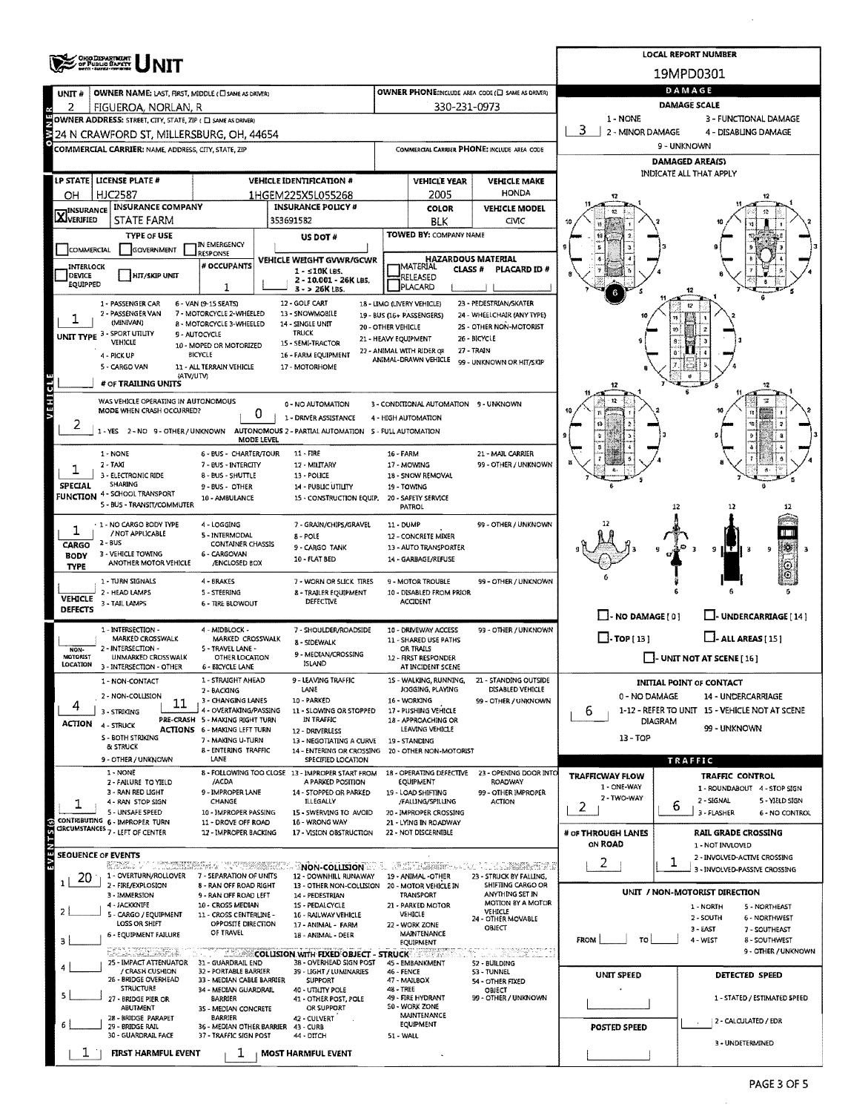|                           | <b>ORD DEPARTMENT</b><br>OF PUBLIC BAFKYY                          |                                                                      |                                                                       |                                             |                                                   |                                                       |                                      | <b>LOCAL REPORT NUMBER</b>                                           |  |  |  |
|---------------------------|--------------------------------------------------------------------|----------------------------------------------------------------------|-----------------------------------------------------------------------|---------------------------------------------|---------------------------------------------------|-------------------------------------------------------|--------------------------------------|----------------------------------------------------------------------|--|--|--|
|                           |                                                                    |                                                                      |                                                                       |                                             |                                                   |                                                       |                                      | 19MPD0301                                                            |  |  |  |
| UNIT#                     | OWNER NAME: LAST, FIRST, MIDDLE (C) SAME AS DRIVER)                |                                                                      |                                                                       |                                             |                                                   | OWNER PHONE:INCLUDE AREA CODE (E) SAME AS DRIVER)     |                                      | DAMAGE                                                               |  |  |  |
| 2                         | FIGUEROA, NORLAN, R                                                |                                                                      |                                                                       |                                             | 330-231-0973                                      |                                                       |                                      | <b>DAMAGE SCALE</b>                                                  |  |  |  |
|                           | OWNER ADDRESS: STREET, CITY, STATE, ZIP ( C) SAME AS DRIVER)       |                                                                      |                                                                       |                                             |                                                   |                                                       | 1 - NONE                             | 3 - FUNCTIONAL DAMAGE                                                |  |  |  |
|                           | 24 N CRAWFORD ST, MILLERSBURG, OH, 44654                           |                                                                      |                                                                       |                                             |                                                   |                                                       | з<br>2 - MINOR DAMAGE                | 4 - DISABLING DAMAGE                                                 |  |  |  |
|                           | COMMERCIAL CARRIER: NAME, ADDRESS, CITY, STATE, ZIP                |                                                                      |                                                                       | COMMERCIAL CARRIER PHONE: INCLUDE AREA CODE |                                                   |                                                       | 9 - UNKNOWN                          |                                                                      |  |  |  |
|                           |                                                                    |                                                                      |                                                                       |                                             |                                                   |                                                       |                                      | <b>DAMAGED AREA(S)</b><br>INDICATE ALL THAT APPLY                    |  |  |  |
|                           | LP STATE   LICENSE PLATE #                                         |                                                                      | <b>VEHICLE IDENTIFICATION #</b>                                       |                                             | <b>VEHICLE YEAR</b>                               | <b>VEHICLE MAKE</b>                                   |                                      |                                                                      |  |  |  |
| OН                        | HJC2587                                                            |                                                                      | 1HGEM225X5L055268                                                     |                                             | 2005                                              | HONDA                                                 |                                      |                                                                      |  |  |  |
| <b>X</b> INSURANCE        | <b>INSURANCE COMPANY</b>                                           |                                                                      | <b>INSURANCE POLICY #</b>                                             |                                             | COLOR                                             | <b>VEHICLE MODEL</b>                                  |                                      |                                                                      |  |  |  |
|                           | STATE FARM<br><b>TYPE OF USE</b>                                   |                                                                      | 353691582                                                             |                                             | BLK<br>TOWED BY: COMPANY NAME                     | avic                                                  | 10                                   |                                                                      |  |  |  |
| COMMERCIAL                | <b>GOVERNMENT</b>                                                  | IN EMERGENCY                                                         | US DOT #                                                              |                                             |                                                   |                                                       |                                      |                                                                      |  |  |  |
| INTERLOCK                 |                                                                    | <b>RESPONSE</b><br># DCCUPANTS                                       | VEHICLE WEIGHT GVWR/GCWR                                              |                                             | HAZARDOUS MATERIAL                                |                                                       |                                      |                                                                      |  |  |  |
| DEVICE                    | HIT/SKIP UNIT                                                      |                                                                      | $1 - 510K$ LBS.<br>2 - 10.001 - 26K LBS.                              |                                             | <b>CLASS #</b><br>RELEASED                        | PLACARD ID#                                           |                                      |                                                                      |  |  |  |
| EQUIPPED                  |                                                                    | 1                                                                    | 3 - > 26K LBS.                                                        |                                             | PLACARD                                           |                                                       |                                      |                                                                      |  |  |  |
|                           | 1 - PASSENGER CAR<br>2 - PASSENGER VAN                             | 6 - VAN (9-15 SEATS)<br>7 - MOTORCYCLE 2-WHEELED                     | 12 - GOLF CART<br>13 - SNOWMOBILE                                     |                                             | 18 - LIMO (LIVERY VEHICLE)                        | 23 - PEDESTRIAN/SKATER                                |                                      | ø                                                                    |  |  |  |
|                           | (MINIVAN)                                                          | 8 - MOTORCYCLE 3-WHEELED                                             | 14 - SINGLE UNIT                                                      | 20 - OTHER VEHICLE                          | 19 - BUS (16+ PASSENGERS)                         | 24 - WHEELCHAIR (ANY TYPE)<br>25 - OTHER NON-MOTORIST |                                      | 10                                                                   |  |  |  |
|                           | UNIT TYPE 3 - SPORT UTILITY<br>VEHICLE                             | 9 - AUTOCYCLE                                                        | <b>TRUCK</b><br>15 - SEMI-TRACTOR                                     | 21 - HEAVY EQUIPMENT                        |                                                   | 26 - BICYCLE                                          |                                      |                                                                      |  |  |  |
|                           | 4 - PICK UP                                                        | 10 - MOPED OR MOTORIZED<br>BICYCLE                                   | 16 - FARM EQUIPMENT                                                   |                                             | 22 - ANIMAL WITH RIDER OR<br>ANIMAL-DRAWN VEHICLE | 27 - TRAIN                                            |                                      |                                                                      |  |  |  |
|                           | 5 - CARGO VAN                                                      | 11 - ALL TERRAIN VEHICLE                                             | 17 - MOTORHOME                                                        |                                             |                                                   | 99 - UNKNOWN OR HIT/SKIP                              |                                      |                                                                      |  |  |  |
|                           | (ATV/UTV)<br># OF TRAILING UNITS                                   |                                                                      |                                                                       |                                             |                                                   |                                                       |                                      | 12                                                                   |  |  |  |
| VEHICLE                   | WAS VEHICLE OPERATING IN AUTONOMOUS                                |                                                                      | 0 - NO AUTOMATION                                                     |                                             | 3 - CONDITIONAL AUTOMATION 9 - UNKNOWN            |                                                       |                                      |                                                                      |  |  |  |
|                           | MODE WHEN CRASH OCCURRED?                                          | 0                                                                    | 1 - DRIVER ASSISTANCE                                                 |                                             | 4 - HIGH AUTOMATION                               |                                                       |                                      |                                                                      |  |  |  |
| $\epsilon$                | 1-YES 2-NO 9-OTHER/UNKNOWN                                         |                                                                      | AUTONOMOUS 2 - PARTIAL AUTOMATION 5 - FULL AUTOMATION                 |                                             |                                                   |                                                       |                                      |                                                                      |  |  |  |
|                           |                                                                    | MODE LEVEL                                                           |                                                                       |                                             |                                                   |                                                       |                                      |                                                                      |  |  |  |
|                           | $1 - NONE$<br>2 - TAXI                                             | 6 - BUS - CHARTER/TOUR<br>7 - BUS - INTERCITY                        | $11 - FIRE$<br>12 - MILITARY                                          | <b>16 - FARM</b>                            | 17 - MOWING                                       | 21 - MAIL CARRIER<br>99 - OTHER / UNKNOWN             |                                      |                                                                      |  |  |  |
|                           | 3 - ELECTRONIC RIDE                                                | 8 - BUS - SHUTTLE                                                    | 13 - POLICE                                                           |                                             | 18 - SNOW REMOVAL                                 |                                                       |                                      |                                                                      |  |  |  |
| <b>SPECIAL</b>            | SHARING<br><b>FUNCTION 4 - SCHOOL TRANSPORT</b>                    | 9 - BUS - OTHER                                                      | 14 - PUBLIC UTILITY                                                   |                                             | 19 - TOWING                                       |                                                       |                                      |                                                                      |  |  |  |
|                           | 5 - BUS - TRANSIT/COMMUTER                                         | 10 - AMBULANCE                                                       | 15 - CONSTRUCTION EQUIP.                                              |                                             | 20 - SAFETY SERVICE<br><b>PATROL</b>              |                                                       |                                      | 12                                                                   |  |  |  |
|                           | . 1 - NO CARGO BODY TYPE                                           | 4 - LOGGING                                                          | 7 - GRAIN/CHIPS/GRAVEL                                                | 11 - DUMP                                   |                                                   | 99 - OTHER / UNKNOWN                                  |                                      |                                                                      |  |  |  |
|                           | / NOT APPLICABLE                                                   | 5 - INTERMODAL                                                       | $8 - POLE$                                                            |                                             | 12 - CONCRETE MIXER                               |                                                       |                                      |                                                                      |  |  |  |
| CARGO<br><b>BODY</b>      | $2 - BUS$<br>3 - VEHICLE TOWING                                    | <b>CONTAINER CHASSIS</b><br>6 - CARGOVAN                             | 9 - CARGO TANK                                                        |                                             | 13 - AUTO TRANSPORTER                             |                                                       |                                      | 謙緩<br>9<br>9                                                         |  |  |  |
| <b>TYPE</b>               | ANOTHER MOTOR VEHICLE                                              | /ENCLOSED BOX                                                        | 10 - FLAT BED                                                         |                                             | 14 - GARBAGE/REFUSE                               |                                                       |                                      | $\odot$                                                              |  |  |  |
|                           | 1 - TURN SIGNALS                                                   | 4 - BRAKES                                                           | 7 - WORN OR SLICK TIRES                                               |                                             | 9 - MOTOR TROUBLE                                 | 99 - OTHER / UNKNOWN                                  |                                      | $\odot$                                                              |  |  |  |
| <b>VEHICLE</b>            | 2 - HEAD LAMPS                                                     | S - STEERING                                                         | 8 - TRAILER EQUIPMENT<br>DEFECTIVE                                    |                                             | 10 - DISABLED FROM PRIOR<br><b>ACCIDENT</b>       |                                                       |                                      |                                                                      |  |  |  |
| DEFECTS                   | 3 - TAIL LAMPS                                                     | <b>6 - TIRE BLOWOUT</b>                                              |                                                                       |                                             |                                                   |                                                       | $\Box$ - NO DAMAGE [ 0 ]             | U-UNDERCARRIAGE [14]                                                 |  |  |  |
|                           | 1 - INTERSECTION -                                                 | 4 - MIDBLOCK -                                                       | 7 - SHOULDER/ROADSIDE                                                 |                                             | 10 - DRIVEWAY ACCESS                              | 99 - OTHER / UNKNOWN                                  |                                      |                                                                      |  |  |  |
| <b>NON-</b>               | MARKED CROSSWALK<br>2 - INTERSECTION -                             | MARKED CROSSWALK<br>5 - TRAVEL LANE -                                | 8 - SIDEWALK                                                          |                                             | 11 - SHARED USE PATHS<br>OR TRAILS                |                                                       | $\Box$ -TOP [13]                     | $\Box$ - ALL AREAS [15]                                              |  |  |  |
| MOTORIST                  | UNMARKED CROSSWALK                                                 | OTHER LOCATION                                                       | 9 - MEDIAN/CROSSING<br><b>ISLAND</b>                                  |                                             | 12 - FIRST RESPONDER                              |                                                       |                                      | $\Box$ - UNIT NOT AT SCENE [ 16 ]                                    |  |  |  |
| LOCATION                  | 3 - INTERSECTION - OTHER                                           | 6 - BICYCLE LANE                                                     |                                                                       |                                             | AT INCIDENT SCENE<br>15 - WALKING, RUNNING,       |                                                       |                                      |                                                                      |  |  |  |
|                           | 1 - NON-CONTACT                                                    | 1 - STRAIGHT AHEAD<br>2 - BACKING                                    | 9 - LEAVING TRAFFIC<br>LANE                                           |                                             | JOGGING, PLAYING                                  | 21 - STANDING OUTSIDE<br>DISABLED VEHICLE             |                                      | <b>INITIAL POINT OF CONTACT</b>                                      |  |  |  |
| 4                         | 2 - NON-COLLISION<br>11                                            | 3 - CHANGING LANES<br>4 - OVERTAKING/PASSING                         | 10 - PARKED                                                           |                                             | 16 - WORKING<br>17 - PUSHING VEHICLE              | 99 - OTHER / UNKNOWN                                  | 0 - NO DAMAGE                        | 14 - UNDERCARRIAGE<br>1-12 - REFER TO UNIT 15 - VEHICLE NOT AT SCENE |  |  |  |
| ACTION                    | 3 - STRIKING<br>4 - STRUCK                                         | PRE-CRASH 5 - MAKING RIGHT TURN                                      | 11 - SLOWING OR STOPPED<br>IN TRAFFIC                                 |                                             | 18 - APPROACHING OR                               |                                                       | 6<br><b>DIAGRAM</b>                  |                                                                      |  |  |  |
|                           | S - BOTH STRIKING                                                  | <b>ACTIONS 6 - MAKING LEFT TURN</b><br>7 - MAKING U-TURN             | 12 - DRIVERLESS                                                       |                                             | LEAVING VEHICLE                                   | 99 - UNKNOWN                                          |                                      |                                                                      |  |  |  |
|                           | & STRUCK                                                           | 8 - ENTERING TRAFFIC                                                 | 13 - NEGOTIATING A CURVE<br>14 - ENTERING OR CROSSING                 |                                             | 19 - STANDING<br>20 - OTHER NON-MOTORIST          |                                                       | 13 - TOP                             |                                                                      |  |  |  |
|                           | 9 - OTHER / UNKNOWN                                                | LANE                                                                 | SPECIFIED LOCATION                                                    |                                             |                                                   |                                                       |                                      | <b>TRAFFIC</b>                                                       |  |  |  |
|                           | 1 - NONE<br>2 - FAILURE TO YIELD                                   | /ACDA                                                                | 8 - FOLLOWING TOO CLOSE 13 - IMPROPER START FROM<br>A PARKED POSITION |                                             | 18 - OPERATING DEFECTIVE<br>EQUIPMENT             | 23 - OPENING DOOR INTO<br><b>ROADWAY</b>              | <b>TRAFFICWAY FLOW</b>               | <b>TRAFFIC CONTROL</b>                                               |  |  |  |
|                           | 3 - RAN RED LIGHT                                                  | 9 - IMPROPER LANE<br>CHANGE                                          | 14 - STOPPED OR PARKED<br>ILLEGALLY                                   |                                             | 19 - LOAD SHIFTING<br>/FALLING/SPILLING           | 99 - OTHER IMPROPER<br>ACTION                         | 1 - ONE-WAY<br>2 - TWO-WAY           | 1 - ROUNDABOUT 4 - STOP SIGN<br>2 - SIGNAL<br>5 - YIELD SIGN         |  |  |  |
|                           | 4 - RAN STOP SIGN<br>5 - UNSAFE SPEED                              | 10 - IMPROPER PASSING                                                | 15 - SWERVING TO AVOID                                                |                                             | 20 - IMPROPER CROSSING                            |                                                       | 2                                    | 6<br>3 - FLASHER<br>6 - NO CONTROL                                   |  |  |  |
|                           | CONTRIBUTING 6 - IMPROPER TURN<br>CIRCUMSTANCES 7 - LEFT OF CENTER | 11 - DROVE OFF ROAD                                                  | 16 - WRONG WAY                                                        |                                             | 21 - LYING IN ROADWAY                             |                                                       |                                      |                                                                      |  |  |  |
| EVENTS(s)                 |                                                                    | 12 - IMPROPER BACKING                                                | 17 - VISION OBSTRUCTION                                               |                                             | 22 - NOT DISCERNIBLE                              |                                                       | # OF THROUGH LANES<br><b>ON ROAD</b> | <b>RAIL GRADE CROSSING</b><br>1 - NOT INVLOVED                       |  |  |  |
| <b>SEQUENCE OF EVENTS</b> |                                                                    |                                                                      |                                                                       |                                             |                                                   |                                                       |                                      | 2 - INVOLVED-ACTIVE CROSSING<br>1                                    |  |  |  |
|                           | ERS V<br>1 - OVERTURN/ROLLOVER                                     | <u> Distribution of the Communication</u><br>7 - SEPARATION OF UNITS | NON-COLLISION<br>12 - DOWNHILL RUNAWAY                                |                                             | WITTERMORE<br>19 - ANIMAL - OTHER                 | i di dia mengenakan kali<br>23 - STRUCK BY FALLING,   | 2                                    | 3 - INVOLVED-PASSIVE CROSSING                                        |  |  |  |
| 20                        | 2 - FIRE/EXPLOSION                                                 | 8 - RAN OFF ROAD RIGHT                                               | 13 - OTHER NON-COLLISION 20 - MOTOR VEHICLE IN                        |                                             |                                                   | SHIFTING CARGO OR                                     |                                      | UNIT / NON-MOTORIST DIRECTION                                        |  |  |  |
|                           | 3 - IMMERSION<br>4 - JACKKNIFE                                     | 9 - RAN OFF ROAD LEFT<br>10 - CROSS MEDIAN                           | 14 - PEDESTRIAN<br>15 - PEDALCYCLE                                    |                                             | TRANSPORT<br>21 - PARKED MOTOR                    | ANYTHING SET IN<br>MOTION BY A MOTOR                  |                                      | 1 - NORTH<br>5 - NORTHEAST                                           |  |  |  |
|                           | 5 - CARGO / EQUIPMENT                                              | 11 - CROSS CENTERLINE -                                              | 16 - RAILWAY VEHICLE                                                  |                                             | VEHICLE                                           | VEHICLE<br>24 - OTHER MOVABLE                         |                                      | 2 - SOUTH<br>6 - NORTHWEST                                           |  |  |  |
|                           | LOSS OR SHIFT<br>6 - EQUIPMENT FAILURE                             | OPPOSITE DIRECTION<br>OF TRAVEL                                      | 17 - ANIMAL - FARM<br>18 - ANIMAL - DEER                              |                                             | 22 - WORK ZONE<br>MAINTENANCE                     | OBJECT                                                |                                      | 3 - EAST<br>7 - SOUTHEAST                                            |  |  |  |
|                           | EAN TECHNOLOGICA                                                   |                                                                      | <b>COLUSION WITH FIXED OBJECT - STRUCK</b>                            |                                             | EQUIPMENT                                         | at a Xosz xot                                         | <b>FROM</b><br>το                    | 4 - WEST<br>8 - SOUTHWEST<br>9 - OTHER / UNKNOWN                     |  |  |  |
|                           | 25 - IMPACT ATTENUATOR                                             | 31 - GUARDRAIL END                                                   | 38 - OVERHEAD SIGN POST                                               |                                             | latet anni<br>45 - EMBANKMENT                     | 52 BUILDING                                           |                                      |                                                                      |  |  |  |
|                           | / CRASH CUSHION<br>26 - BRIDGE OVERHEAD                            | 32 - PORTABLE BARRIER<br>33 - MEDIAN CABLE BARRIER                   | 39 - LIGHT / LUMINARIES<br><b>SUPPORT</b>                             | 46 - FENCE                                  | 47 - MAILBOX                                      | 53 - TUNNEL<br>54 - OTHER FIXED                       | <b>UNIT SPEED</b>                    | <b>DETECTED SPEED</b>                                                |  |  |  |
| 5                         | <b>STRUCTURE</b>                                                   | 34 - MEDIAN GUARDRAIL                                                | 40 - UTILITY POLE                                                     | 48 - TREE                                   | 49 - FIRE HYDRANT                                 | OBJECT<br>99 - OTHER / UNKNOWN                        |                                      | 1 - STATED / ESTIMATED SPEED                                         |  |  |  |
|                           | 27 - BRIDGE PIER OR<br>ABUTMENT                                    | BARRIER<br>3S - MEDIAN CONCRETE                                      | 41 - OTHER POST, POLE<br>OR SUPPORT                                   |                                             | 50 - WORK ZONE                                    |                                                       |                                      |                                                                      |  |  |  |
|                           | 28 - BRIDGE PARAPET<br>29 - BRIDGE RAIL                            | <b>BARRIER</b><br>36 - MEDIAN OTHER BARRIER                          | 42 - CULVERT<br>43 - CURB                                             |                                             | MAINTENANCE<br>EQUIPMENT                          |                                                       | <b>POSTED SPEED</b>                  | 2 - CALCULATED / EDR                                                 |  |  |  |
|                           | 30 - GUARDRAIL FACE                                                | 37 - TRAFFIC SIGN POST                                               | 44 - DITCH                                                            | 51 - WALL                                   |                                                   |                                                       |                                      | 3 - UNDETERMINED                                                     |  |  |  |
| ı                         | FIRST HARMFUL EVENT                                                | T                                                                    | <b>MOST HARMFUL EVENT</b>                                             |                                             |                                                   |                                                       |                                      |                                                                      |  |  |  |

 $\bar{\beta}$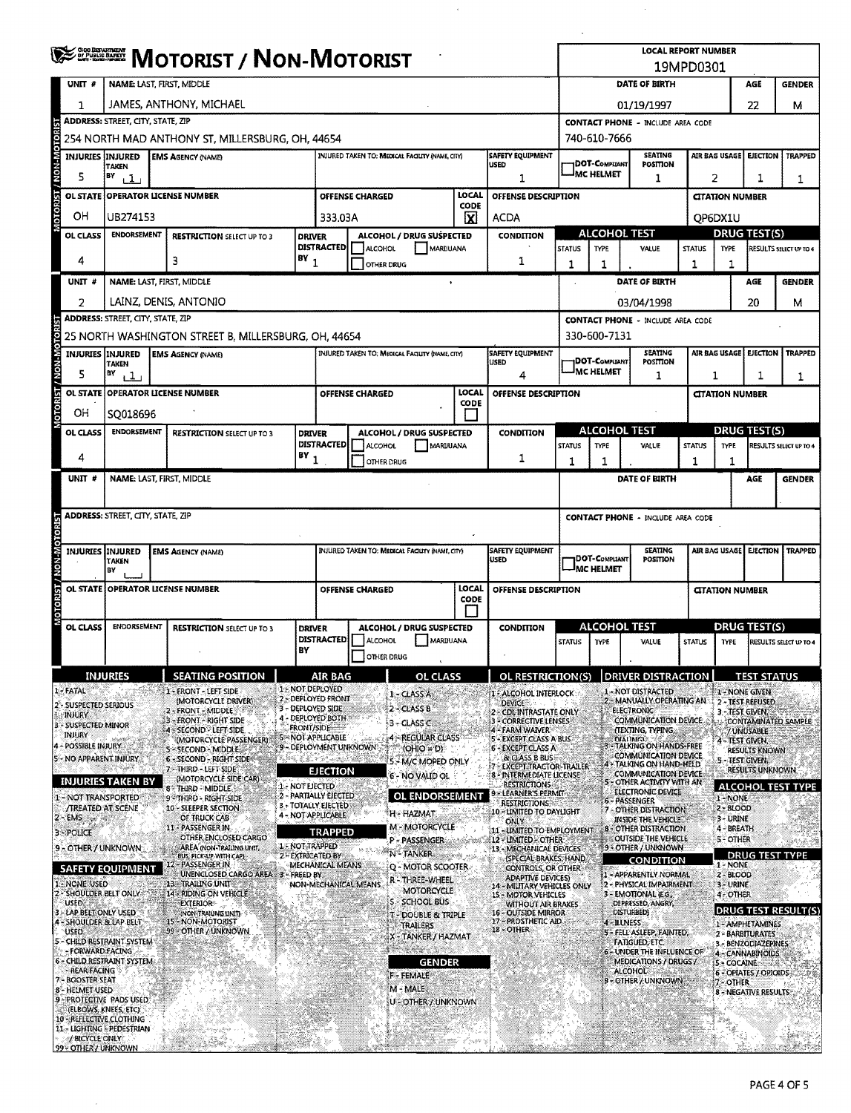|                                                        |                                                                                                                                                                            |  |                                                          |    |                                                                                              |                                                                             |                                   |              |                                                                              |                                   |                             | <b>LOCAL REPORT NUMBER</b>                       |               |                                  |                                      |                            |  |
|--------------------------------------------------------|----------------------------------------------------------------------------------------------------------------------------------------------------------------------------|--|----------------------------------------------------------|----|----------------------------------------------------------------------------------------------|-----------------------------------------------------------------------------|-----------------------------------|--------------|------------------------------------------------------------------------------|-----------------------------------|-----------------------------|--------------------------------------------------|---------------|----------------------------------|--------------------------------------|----------------------------|--|
|                                                        | <b>ELER MOTORIST / NON-MOTORIST</b>                                                                                                                                        |  |                                                          |    |                                                                                              |                                                                             |                                   |              |                                                                              | 19MPD0301<br>DATE OF BIRTH<br>AGE |                             |                                                  |               |                                  |                                      |                            |  |
| UNIT #                                                 | NAME: LAST, FIRST, MIDDLE                                                                                                                                                  |  |                                                          |    |                                                                                              |                                                                             |                                   |              |                                                                              |                                   |                             |                                                  |               |                                  | <b>GENDER</b>                        |                            |  |
| 1                                                      | JAMES, ANTHONY, MICHAEL                                                                                                                                                    |  |                                                          |    |                                                                                              |                                                                             |                                   |              |                                                                              |                                   |                             | 01/19/1997                                       |               |                                  | 22                                   | м                          |  |
|                                                        | ADDRESS: STREET, CITY, STATE, ZIP                                                                                                                                          |  |                                                          |    |                                                                                              |                                                                             |                                   |              |                                                                              |                                   |                             | <b>CONTACT PHONE - INCLUDE AREA CODE</b>         |               |                                  |                                      |                            |  |
| ρ                                                      | 254 NORTH MAD ANTHONY ST, MILLERSBURG, OH, 44654                                                                                                                           |  |                                                          |    |                                                                                              |                                                                             |                                   |              |                                                                              |                                   | 740-610-7666                | SEATING                                          |               |                                  |                                      |                            |  |
| <b>DTORIST / NON-M</b><br>5                            | <b>SAFETY EQUIPMENT</b><br>INJURED TAKEN TO: MEDICAL FACILITY (NAME, CITY)<br>INJURIES INJURED<br><b>EMS AGENCY (NAME)</b><br><b>USED</b><br><b>TAKEN</b><br>BY<br>1<br>11 |  |                                                          |    |                                                                                              |                                                                             |                                   |              |                                                                              |                                   | 1DOT-COMPLIANT<br>MC HELMET | <b>POSITION</b><br>1                             |               | AIR BAG USAGE EJECTION<br>1<br>2 |                                      | <b>TRAPPED</b><br>1        |  |
| <b>OL STATE</b>                                        |                                                                                                                                                                            |  | <b>OPERATOR LICENSE NUMBER</b>                           |    |                                                                                              | OFFENSE CHARGED                                                             |                                   | <b>LOCAL</b> | OFFENSE DESCRIPTION                                                          |                                   |                             |                                                  |               | <b>CITATION NUMBER</b>           |                                      |                            |  |
| OН                                                     | UB274153                                                                                                                                                                   |  |                                                          |    |                                                                                              | CODE<br>⊠<br>333.03A<br><b>ACDA</b>                                         |                                   |              |                                                                              |                                   |                             |                                                  |               | QP6DX1U                          |                                      |                            |  |
| OL CLASS                                               | <b>ENDORSEMENT</b><br><b>RESTRICTION SELECT UP TO 3</b>                                                                                                                    |  |                                                          |    | <b>DRIVER</b>                                                                                |                                                                             | ALCOHOL / DRUG SUŚPECTED          |              | CONDITION                                                                    |                                   | ALCOHOL TEST                |                                                  |               | <b>DRUG TEST(S)</b>              |                                      |                            |  |
| 4                                                      |                                                                                                                                                                            |  |                                                          |    | <b>DISTRACTED</b><br>$18Y_1$                                                                 | <b>ALCOHOL</b>                                                              | MARIJUANA                         |              |                                                                              | <b>STATUS</b>                     | TYPE                        | VALUE                                            | <b>STATUS</b> | <b>TYPE</b>                      | <b>RESULTS SELECT UP TO 4</b>        |                            |  |
|                                                        |                                                                                                                                                                            |  | з                                                        |    |                                                                                              | OTHER DRUG                                                                  |                                   |              | 1                                                                            | 1                                 | 1                           |                                                  | 1             | 1                                |                                      |                            |  |
| UNIT#                                                  |                                                                                                                                                                            |  | NAME: LAST, FIRST, MIDDLE                                |    |                                                                                              |                                                                             |                                   |              |                                                                              |                                   |                             | DATE OF BIRTH                                    |               |                                  | <b>AGE</b>                           | <b>GENDER</b>              |  |
| 2                                                      |                                                                                                                                                                            |  | LAINZ, DENIS, ANTONIO                                    |    |                                                                                              |                                                                             |                                   |              |                                                                              |                                   |                             | 03/04/1998                                       |               |                                  | 20                                   | м                          |  |
|                                                        | ADDRESS: STREET, CITY, STATE, ZIP                                                                                                                                          |  |                                                          |    |                                                                                              |                                                                             |                                   |              |                                                                              |                                   |                             | <b>CONTACT PHONE - INCLUDE AREA CODE</b>         |               |                                  |                                      |                            |  |
|                                                        |                                                                                                                                                                            |  | 25 NORTH WASHINGTON STREET B, MILLERSBURG, OH, 44654     |    |                                                                                              |                                                                             |                                   |              |                                                                              |                                   | 330-600-7131                |                                                  |               |                                  |                                      |                            |  |
| <b>INJURIES</b>                                        | <b>INJURED</b><br>TAKEN                                                                                                                                                    |  | <b>EMS AGENCY (NAME)</b>                                 |    |                                                                                              | INJURED TAKEN TO: MEDICAL FACILITY (NAME, CITY)                             |                                   |              | SAFETY EQUIPMENT<br>USED                                                     |                                   | <b>IDOT-COMPLIANT</b>       | <b>SEATING</b><br>POSITION                       |               | AIR BAG USAGE                    | <b>EJECTION</b>                      | <b>TRAPPED</b>             |  |
| 5                                                      | BY<br><u>ىك</u>                                                                                                                                                            |  |                                                          |    |                                                                                              |                                                                             |                                   |              | 4                                                                            |                                   | <b>IMC HELMET</b>           | 1                                                |               | 1                                | 1                                    | 1                          |  |
| <b>MOTORIST / NON-MOTORI</b><br><b>OL STATE</b>        |                                                                                                                                                                            |  | <b>OPERATOR LICENSE NUMBER</b>                           |    |                                                                                              | OFFENSE CHARGED                                                             |                                   | LOCAL        | OFFENSE DESCRIPTION                                                          |                                   |                             |                                                  |               | <b>CITATION NUMBER</b>           |                                      |                            |  |
| OH.                                                    | SQ018696                                                                                                                                                                   |  |                                                          |    |                                                                                              |                                                                             |                                   | <b>CODE</b>  |                                                                              |                                   |                             |                                                  |               |                                  |                                      |                            |  |
| OL CLASS                                               | ENDORSEMENT                                                                                                                                                                |  | <b>RESTRICTION SELECT UP TO 3</b>                        |    | <b>DRIVER</b>                                                                                |                                                                             | ALCOHOL / DRUG SUSPECTED          |              | <b>CONDITION</b>                                                             |                                   | ALCOHOL TEST                |                                                  |               |                                  | <b>DRUG TEST(S)</b>                  |                            |  |
|                                                        |                                                                                                                                                                            |  |                                                          |    | <b>DISTRACTED</b>                                                                            | ALCOHOL                                                                     | MARUUANA                          |              |                                                                              | <b>STATUS</b>                     | <b>TYPE</b>                 | VALUE                                            | <b>STATUS</b> | <b>TYPE</b>                      |                                      | RESULTS SELECT UP TO 4     |  |
| 4                                                      |                                                                                                                                                                            |  |                                                          |    | $18Y$ <sub>1</sub>                                                                           | OTHER DRUG                                                                  |                                   |              | 1                                                                            | 1                                 | 1                           |                                                  | 1             | 1                                |                                      |                            |  |
| UNIT #                                                 |                                                                                                                                                                            |  | NAME: LAST, FIRST, MIDDLE                                |    |                                                                                              |                                                                             |                                   |              |                                                                              |                                   |                             | DATE OF BIRTH                                    |               |                                  | AGE                                  | <b>GENDER</b>              |  |
|                                                        | ADDRESS: STREET, CITY, STATE, ZIP                                                                                                                                          |  |                                                          |    |                                                                                              |                                                                             |                                   |              |                                                                              |                                   |                             |                                                  |               |                                  |                                      |                            |  |
|                                                        |                                                                                                                                                                            |  |                                                          |    |                                                                                              |                                                                             |                                   |              |                                                                              |                                   |                             | <b>CONTACT PHONE - INCLUDE AREA CODE</b>         |               |                                  | <b>EJECTION</b>                      | <b>TRAPPED</b>             |  |
|                                                        | INJURIES INJURED<br><b>EMS AGENCY (NAME)</b><br><b>TAKEN</b><br>BY                                                                                                         |  |                                                          |    |                                                                                              | SAFETY EQUIPMENT<br>INJURED TAKEN TO: MEDICAL FACILITY (NAME, CITY)<br>USED |                                   |              | <b>SEATING</b><br>IDOT-Compliant<br>POSITION<br><b>J<sub>MC HELMET</sub></b> |                                   |                             | <b>AIR BAG USAGE</b>                             |               |                                  |                                      |                            |  |
| MOTORIST / NON-MOTORIST                                |                                                                                                                                                                            |  | OL STATE OPERATOR LICENSE NUMBER                         |    |                                                                                              | <b>LOCAL</b><br><b>OFFENSE CHARGED</b><br>OFFENSE DESCRIPTION<br>CODE       |                                   |              |                                                                              |                                   | <b>CITATION NUMBER</b>      |                                                  |               |                                  |                                      |                            |  |
| OL CLASS                                               | ENDORSEMENT                                                                                                                                                                |  | <b>RESTRICTION SELECT UP TO 3</b>                        |    | <b>ALCOHOL / DRUG SUSPECTED</b><br><b>DRIVER</b><br><b>DISTRACTED</b><br>ALCOHOL<br>MARDUANA |                                                                             |                                   | CONDITION    | <b>ALCOHOL TEST</b><br><b>STATUS</b><br><b>TYPE</b>                          |                                   | VALUE                       | <b>STATUS</b>                                    | <b>TYPE</b>   | DRUG TEST(S)                     | <b>RESULTS SELECT UP TO 4</b>        |                            |  |
|                                                        |                                                                                                                                                                            |  |                                                          | BY |                                                                                              | <b>OTHER DRUG</b>                                                           |                                   |              |                                                                              |                                   |                             |                                                  |               |                                  |                                      |                            |  |
|                                                        | INJURIES                                                                                                                                                                   |  | <b>SEATING POSITION</b>                                  |    | AIR BAG                                                                                      |                                                                             | <b>OL CLASS</b>                   |              | OL RESTRICTION(S)                                                            |                                   |                             | <b>DRIVER DISTRACTION</b>                        |               |                                  | <b>TEST STATUS</b>                   |                            |  |
| 1-FATAL                                                |                                                                                                                                                                            |  | 1 - FRONT - LEFT SIDE                                    |    | 1 - NOT DEPLOYED<br>2 - DEPLOYED FRONT                                                       |                                                                             | 1 - CLASS A                       |              | 1 - ALCOHOL INTERLOCK                                                        |                                   |                             | 1 - NOT DISTRACTED                               |               |                                  | 1 - NONE GIVEN                       |                            |  |
| 2 - SUSPECTED SERIOUS<br>injury                        |                                                                                                                                                                            |  | (MOTORCYCLE DRIVER)<br>2 - FRONT - MIDDLE                |    | 3 - DEPLOYED SIDE<br>4 - DEPLOYED BOTH                                                       |                                                                             | $2 - CLASSB$                      |              | device<br>2 - CDL INTRASTATE ONLY                                            |                                   |                             | 2 - MANUALLY OPERATING AN<br><b>ELECTRONIC</b>   |               |                                  | 2 - TEST REFUSED<br>3 - TEST GIVEN.  |                            |  |
| - SUSPECTED MINOR<br>INJURY                            |                                                                                                                                                                            |  | 3 - FRONT - RIGHT SIDE<br>4 SECOND PLEFT SIDE            |    | FRONT/SIDE                                                                                   |                                                                             | $3 - CLASSC$                      |              | 3 - CORRECTIVE LENSES<br>4 - FARM WAIVER                                     |                                   |                             | COMMUNICATION DEVICE<br>(TEXTING, TYPING,        |               |                                  | / UNUSABLE                           | <b>CONTAMINATED SAMPLE</b> |  |
| 4 - POSSIBLE INJURY                                    |                                                                                                                                                                            |  | (MOTORCYCLE PASSENGER)<br>S-SECOND-MIDDLE                |    | <b>S=NOT APPLICABLE</b><br>9 - DEPLOYMENT UNKNOWN                                            |                                                                             | 4 - REGULAR CLASS<br>$(OHIO = DI$ |              | 5 - EXCEPT CLASS A BUS<br>6 - EXCEPT CLASS A                                 |                                   |                             | <b>DIALINGY</b><br>- TALKING ON HANDS-FREE       |               | 4 - TEST GIVEN,                  | <b>RESULTS KNOWN</b>                 |                            |  |
| 5 - NO APPARENT INJURY                                 |                                                                                                                                                                            |  | 6 - SECOND - RIGHT SIDE<br>7 - THIRD - LEFT SIDE         |    |                                                                                              |                                                                             | 5 - M/C MOPED ONLY                |              | <b>&amp; CLASS B BUS</b><br><b>EXCEPT TRACTOR-TRAILER</b>                    |                                   |                             | COMMUNICATION DEVICE<br>4'- TALKING ON HAND-HELD |               | S - TEST GIVEN!                  |                                      |                            |  |
|                                                        | <b>INJURIES TAKEN BY</b>                                                                                                                                                   |  | (MOTORCYCLE SIDE CAR)                                    |    | <b>EJECTION</b><br>1 - NOT LIECTED                                                           |                                                                             | 6 - NO VALID OL                   |              | <b>8 - INTERMEDIATE LICENSE</b><br><b>RESTRICTIONS</b>                       |                                   | 5                           | COMMUNICATION DEVICE<br>: OTHER ACTIVITY WITH AN |               |                                  | RESULTS UNKNOWN                      |                            |  |
| 1 - NOT TRANSPORTED                                    |                                                                                                                                                                            |  | 8 - THIRD - MIDDLE,<br>9-THIRD - RIGHT SIDE              |    | 2 - PARTIALLY EJECTED                                                                        |                                                                             | <b>OL ENDORSEMENT</b>             |              | 9 - LEARNER'S PERMIT                                                         |                                   |                             | ELECTRONIC DEVICE<br>6 - PASSENGER               |               | 1-NONE                           |                                      | <b>ALCOHOL TEST TYPE</b>   |  |
| <b>/TREATED AT SCENE</b><br>$2 - EMS$                  |                                                                                                                                                                            |  | 10 - SLEEPER SECTION<br>OF TRUCK CAB                     |    | 3 - TOTALLY EJECTED<br>4 - NOT APPLICABLE                                                    |                                                                             | H - HAZMAT                        |              | <b>RESTRICTIONS</b><br>10 - LIMITED TO DAYLIGHT                              |                                   |                             | 7 - OTHER DISTRACTION<br>INSIDE THE VEHICLE.     |               | $2 - BLOOD$<br>3 - URINE         |                                      |                            |  |
| 3 - POLICE                                             |                                                                                                                                                                            |  | 11 - PASSENGER IN                                        |    | TRAPPED                                                                                      |                                                                             | M - MOTORCYCLE                    |              | ONLY<br>11 - LIMITED TO EMPLOYMENT                                           |                                   |                             | <b>8 - OTHER DISTRACTION</b>                     |               | 4 - BREATH                       |                                      |                            |  |
| 9 - OTHER / UNKNOWN                                    |                                                                                                                                                                            |  | OTHER ENCLOSED CARGO<br>AREA (NON-TRAILING UNIT,         |    | 1 - NOT TRAPPED                                                                              |                                                                             | P - PASSENGER                     |              | 12 - LIMITED - OTHER<br>13 - MECHANICAL DEVICES                              |                                   |                             | OUTSIDE THE VEHICLE<br>9 - OTHER / UNKNOWN       |               | <b>5 - OTHER</b>                 |                                      |                            |  |
|                                                        | <b>SAFETY EQUIPMENT</b>                                                                                                                                                    |  | BUS, PICK-UP WITH CAP)<br>12 - PASSENGER IN              |    | 2 - EXTRICATED BY<br>MECHANICAL MEANS                                                        |                                                                             | N-TANKER<br>Q - MOTOR SCOOTER     |              | (SPECIAL BRAKES, HAND<br>CONTROLS, OR OTHER                                  |                                   |                             | <b>CONDITION</b>                                 |               | 1 - NONE                         | <b>DRUG TEST TYPE</b>                |                            |  |
| 1 - NONE USED                                          |                                                                                                                                                                            |  | UNENCLOSED CARGO AREA 3 - FREED BY<br>13 - TRAILING UNIT |    | NON-MECHANICAL MEANS                                                                         |                                                                             | r - Three-wheel                   |              | <b>ADAPTIVE DEVICES)</b>                                                     |                                   |                             | 1 - APPARENTLY NORMAL<br>2 - PHYSICAL IMPAIRMENT |               | 2-BLOOD<br>3-URINE               |                                      |                            |  |
| 2 - SHOULDER BELT ONLY                                 |                                                                                                                                                                            |  | 14 - RIDING ON VEHICLE                                   |    |                                                                                              |                                                                             | MOTORCYCLE<br>S - SCHOOL BUS      |              | 14 - MILITARY VEHICLES ONLY<br><b>15 - MOTOR VEHICLES</b>                    |                                   |                             | 3 - EMOTIONAL (E.G.,                             |               | 4 - OTHER                        |                                      |                            |  |
| USED.<br>- LAP BELT ONLY USED                          |                                                                                                                                                                            |  | <b>EXTERIOR</b><br>(NON-TRAIUNG UNIT)                    |    |                                                                                              |                                                                             | DOUBLE & TRIPLE                   |              | WITHOUT AIR BRAKES<br><b>16 - OUTSIDE MIRROR</b>                             |                                   |                             | DEPRESSED, ANGRY,<br><b>DISTURBED)</b>           |               |                                  |                                      | <b>DRUG TEST RESULT(S)</b> |  |
| 4 - SHOULDER & LAP BELT<br><b>USED</b>                 |                                                                                                                                                                            |  | 15 - NON-MOTORIST<br>99 - OTHER / UNKNOWN                |    |                                                                                              |                                                                             | TRAILERS                          |              | 17 - PROSTHETIC AID.<br>18 - OTHER                                           |                                   | 4 - ILLNESS                 | S - FELL ASLEEP, FAINTED,                        |               |                                  | 1 - AMPHETAMINES<br>2 - BARBITURATES |                            |  |
| IS.<br><b>FORWARD FACING</b>                           | - CHILD RESTRAINT SYSTEM                                                                                                                                                   |  |                                                          |    |                                                                                              |                                                                             | : TANKER / HAZMAT                 |              |                                                                              |                                   |                             | FATIGUED, ETC.<br>6 - UNDER THE INFLUENCE OF     |               |                                  | 3 - BENZODIAZEPINES                  |                            |  |
| 6 - CHILD RESTRAINT SYSTEM                             |                                                                                                                                                                            |  |                                                          |    |                                                                                              |                                                                             | GENDER                            |              |                                                                              |                                   |                             | <b>MEDICATIONS / DRUGS /</b>                     |               | 5 - COCAINE                      | 4 - CANNABINOIDS                     |                            |  |
| - REAR FACING<br>7 - BOOSTER SEAT                      |                                                                                                                                                                            |  |                                                          |    |                                                                                              |                                                                             | F-FEMALE                          |              |                                                                              |                                   |                             | <b>ALCOHOL</b><br>9 - OTHER / UNKNOWN            |               | 7 - OTHER                        | 6 - OPIATES / OPIOIDS                |                            |  |
| <b>8- HELMET USED</b><br>9 - PROTECTIVE PADS USED      |                                                                                                                                                                            |  |                                                          |    |                                                                                              |                                                                             | M - MALE                          |              |                                                                              |                                   |                             |                                                  |               |                                  | 8 - NEGATIVE RESULTS                 |                            |  |
| (ELBOWS, KNEES, ETC)                                   |                                                                                                                                                                            |  |                                                          |    |                                                                                              |                                                                             | U - OTHER / UNKNOWN               |              |                                                                              |                                   |                             |                                                  |               |                                  |                                      |                            |  |
| 10 - REFLECTIVE CLOTHING<br>11 - LIGHTING - PEDESTRIAN |                                                                                                                                                                            |  |                                                          |    |                                                                                              |                                                                             |                                   |              |                                                                              |                                   |                             |                                                  |               |                                  |                                      |                            |  |
| / BICYCLE ONLY<br>99 - OTHER / UNKNOWN                 |                                                                                                                                                                            |  |                                                          |    |                                                                                              |                                                                             |                                   |              |                                                                              |                                   |                             |                                                  |               |                                  |                                      |                            |  |

 $\mathcal{A}$ 

 $\sim$ 

 $\mathcal{L}^{\text{max}}_{\text{max}}$